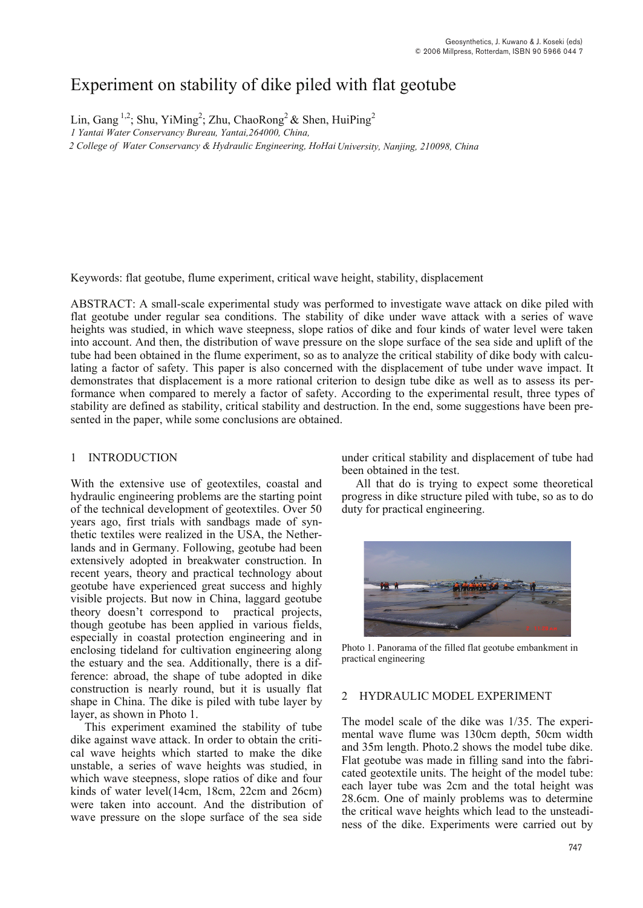# Experiment on stability of dike piled with flat geotube

Lin, Gang<sup>1,2</sup>; Shu, YiMing<sup>2</sup>; Zhu, ChaoRong<sup>2</sup> & Shen, HuiPing<sup>2</sup>

*1 Yantai Water Conservancy Bureau, Yantai,264000, China,*

 *2 College of Water Conservancy & Hydraulic Engineering, HoHai University, Nanjing, 210098, China* 

Keywords: flat geotube, flume experiment, critical wave height, stability, displacement

ABSTRACT: A small-scale experimental study was performed to investigate wave attack on dike piled with flat geotube under regular sea conditions. The stability of dike under wave attack with a series of wave heights was studied, in which wave steepness, slope ratios of dike and four kinds of water level were taken into account. And then, the distribution of wave pressure on the slope surface of the sea side and uplift of the tube had been obtained in the flume experiment, so as to analyze the critical stability of dike body with calculating a factor of safety. This paper is also concerned with the displacement of tube under wave impact. It demonstrates that displacement is a more rational criterion to design tube dike as well as to assess its performance when compared to merely a factor of safety. According to the experimental result, three types of stability are defined as stability, critical stability and destruction. In the end, some suggestions have been presented in the paper, while some conclusions are obtained.

## 1 INTRODUCTION

With the extensive use of geotextiles, coastal and hydraulic engineering problems are the starting point of the technical development of geotextiles. Over 50 years ago, first trials with sandbags made of synthetic textiles were realized in the USA, the Netherlands and in Germany. Following, geotube had been extensively adopted in breakwater construction. In recent years, theory and practical technology about geotube have experienced great success and highly visible projects. But now in China, laggard geotube theory doesn't correspond to practical projects, though geotube has been applied in various fields, especially in coastal protection engineering and in enclosing tideland for cultivation engineering along the estuary and the sea. Additionally, there is a difference: abroad, the shape of tube adopted in dike construction is nearly round, but it is usually flat shape in China. The dike is piled with tube layer by layer, as shown in Photo 1.

This experiment examined the stability of tube dike against wave attack. In order to obtain the critical wave heights which started to make the dike unstable, a series of wave heights was studied, in which wave steepness, slope ratios of dike and four kinds of water level(14cm, 18cm, 22cm and 26cm) were taken into account. And the distribution of wave pressure on the slope surface of the sea side

under critical stability and displacement of tube had been obtained in the test.

All that do is trying to expect some theoretical progress in dike structure piled with tube, so as to do duty for practical engineering.



Photo 1. Panorama of the filled flat geotube embankment in practical engineering

### 2 HYDRAULIC MODEL EXPERIMENT

The model scale of the dike was 1/35. The experimental wave flume was 130cm depth, 50cm width and 35m length. Photo.2 shows the model tube dike. Flat geotube was made in filling sand into the fabricated geotextile units. The height of the model tube: each layer tube was 2cm and the total height was 28.6cm. One of mainly problems was to determine the critical wave heights which lead to the unsteadiness of the dike. Experiments were carried out by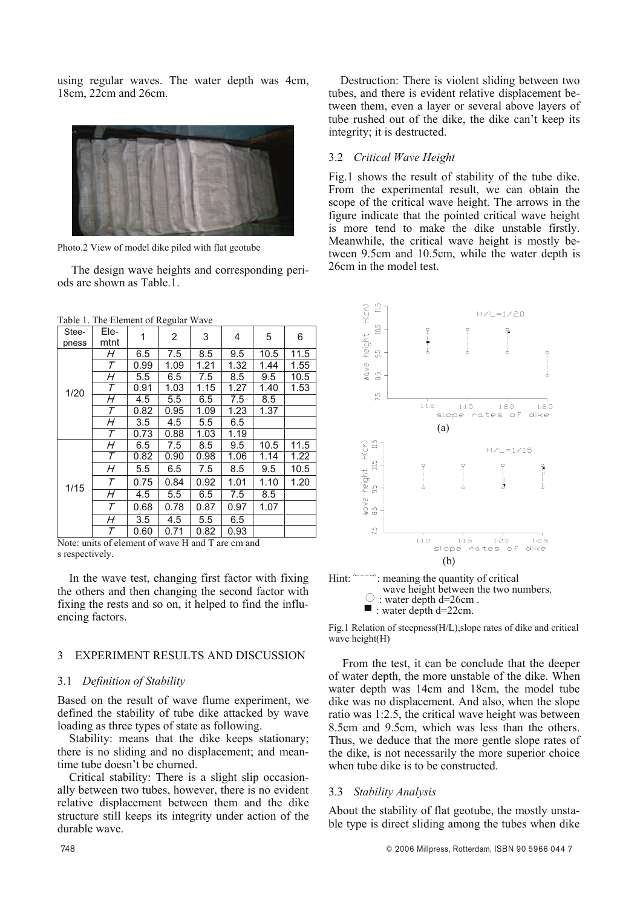using regular waves. The water depth was 4cm,  $18cm$ .  $22cm$  and  $26cm$ .



Photo.2 View of model dike piled with flat geotube

The design wave heights and corresponding periods are shown as Table.1.

| Stee-<br>pness | Ele-<br>mtnt | 1    | 2    | 3    | 4    | 5    | 6    |
|----------------|--------------|------|------|------|------|------|------|
| 1/20           | Η            | 6.5  | 7.5  | 8.5  | 9.5  | 10.5 | 11.5 |
|                | $\tau$       | 0.99 | 1.09 | 1.21 | 1.32 | 1.44 | 1.55 |
|                | H            | 5.5  | 6.5  | 7.5  | 8.5  | 9.5  | 10.5 |
|                | $\tau$       | 0.91 | 1.03 | 1.15 | 1.27 | 1.40 | 1.53 |
|                | H            | 4.5  | 5.5  | 6.5  | 7.5  | 8.5  |      |
|                | Τ            | 0.82 | 0.95 | 1.09 | 1.23 | 1.37 |      |
|                | H            | 3.5  | 4.5  | 5.5  | 6.5  |      |      |
|                | Τ            | 0.73 | 0.88 | 1.03 | 1.19 |      |      |
| 1/15           | H            | 6.5  | 7.5  | 8.5  | 9.5  | 10.5 | 11.5 |
|                | Τ            | 0.82 | 0.90 | 0.98 | 1.06 | 1.14 | 1.22 |
|                | H            | 5.5  | 6.5  | 7.5  | 8.5  | 9.5  | 10.5 |
|                | Τ            | 0.75 | 0.84 | 0.92 | 1.01 | 1.10 | 1.20 |
|                | Н            | 4.5  | 5.5  | 6.5  | 7.5  | 8.5  |      |
|                | Τ            | 0.68 | 0.78 | 0.87 | 0.97 | 1.07 |      |
|                | H            | 3.5  | 4.5  | 5.5  | 6.5  |      |      |
|                | Τ            | 0.60 | 0.71 | 0.82 | 0.93 |      |      |

Table 1. The Element of Regular Wave

Note: units of element of wave H and T are cm and s respectively.

In the wave test, changing first factor with fixing the others and then changing the second factor with fixing the rests and so on, it helped to find the influencing factors.

#### EXPERIMENT RESULTS AND DISCUSSION  $\mathbf{a}$

#### 3.1 Definition of Stability

Based on the result of wave flume experiment, we defined the stability of tube dike attacked by wave loading as three types of state as following.

Stability: means that the dike keeps stationary; there is no sliding and no displacement; and meantime tube doesn't be churned.

Critical stability: There is a slight slip occasionally between two tubes, however, there is no evident relative displacement between them and the dike structure still keeps its integrity under action of the durable wave.

Destruction: There is violent sliding between two tubes, and there is evident relative displacement between them, even a layer or several above layers of tube rushed out of the dike, the dike can't keep its integrity: it is destructed.

### 3.2. Critical Wave Height

Fig.1 shows the result of stability of the tube dike. From the experimental result, we can obtain the scope of the critical wave height. The arrows in the figure indicate that the pointed critical wave height is more tend to make the dike unstable firstly. Meanwhile, the critical wave height is mostly between 9.5cm and 10.5cm, while the water depth is 26cm in the model test



wave height between the two numbers.  $\circ$ : water depth d=26cm.  $\blacksquare$ : water depth d=22cm.

Fig.1 Relation of steepness(H/L), slope rates of dike and critical wave height(H)

From the test, it can be conclude that the deeper of water depth, the more unstable of the dike. When water depth was 14cm and 18cm, the model tube dike was no displacement. And also, when the slope ratio was 1:2.5, the critical wave height was between 8.5cm and 9.5cm, which was less than the others. Thus, we deduce that the more gentle slope rates of the dike, is not necessarily the more superior choice when tube dike is to be constructed.

#### 3.3 Stability Analysis

About the stability of flat geotube, the mostly unstable type is direct sliding among the tubes when dike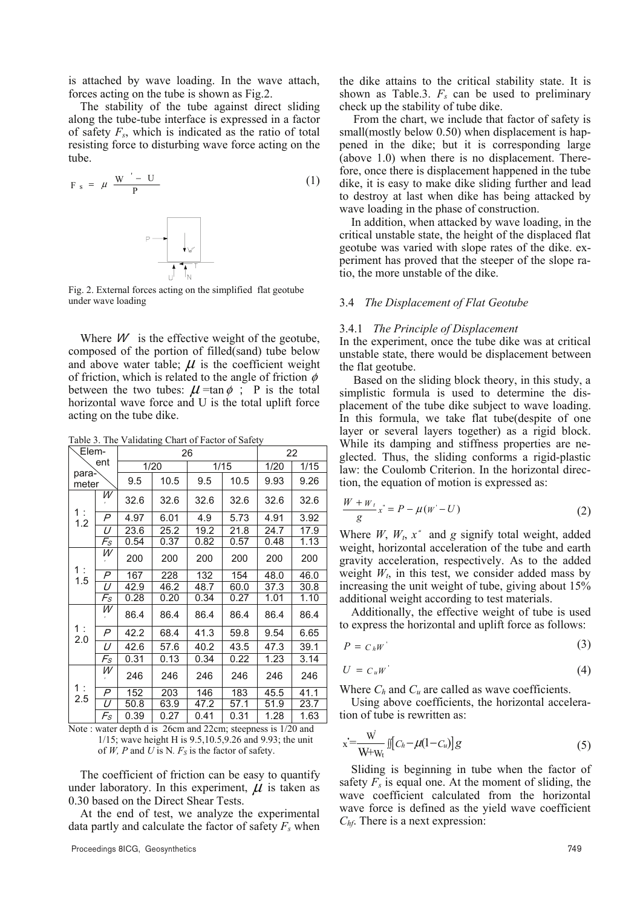is attached by wave loading. In the wave attach, forces acting on the tube is shown as Fig.2.

The stability of the tube against direct sliding along the tube-tube interface is expressed in a factor of safety  $F_s$ , which is indicated as the ratio of total resisting force to disturbing wave force acting on the tube.

$$
F_s = \mu \frac{W' - U}{P}
$$
 (1)

Fig. 2. External forces acting on the simplified flat geotube under wave loading

Where  $W$  is the effective weight of the geotube, composed of the portion of filled(sand) tube below and above water table;  $\mu$  is the coefficient weight of friction, which is related to the angle of friction  $\phi$ between the two tubes:  $\mu$ =tan $\phi$ ; P is the total horizontal wave force and U is the total uplift force acting on the tube dike.

Table 3. The Validating Chart of Factor of Safety

| Elem-                                    |                             |      | 26   | 22   |      |      |      |
|------------------------------------------|-----------------------------|------|------|------|------|------|------|
| ent                                      |                             | 1/20 |      | 1/15 |      | 1/20 | 1/15 |
| para-<br>meter                           |                             | 9.5  | 10.5 | 9.5  | 10.5 | 9.93 | 9.26 |
| $\begin{array}{c} 1: \\ 1.2 \end{array}$ | W                           | 32.6 | 32.6 | 32.6 | 32.6 | 32.6 | 32.6 |
|                                          | P                           | 4.97 | 6.01 | 4.9  | 5.73 | 4.91 | 3.92 |
|                                          | U                           | 23.6 | 25.2 | 19.2 | 21.8 | 24.7 | 17.9 |
|                                          | Fs                          | 0.54 | 0.37 | 0.82 | 0.57 | 0.48 | 1.13 |
| 1 :<br>1.5                               | W                           | 200  | 200  | 200  | 200  | 200  | 200  |
|                                          | P                           | 167  | 228  | 132  | 154  | 48.0 | 46.0 |
|                                          | U                           | 42.9 | 46.2 | 48.7 | 60.0 | 37.3 | 30.8 |
|                                          | $\mathcal{F}_{\mathcal{S}}$ | 0.28 | 0.20 | 0.34 | 0.27 | 1.01 | 1.10 |
| 1 :<br>2.0                               | W                           | 86.4 | 86.4 | 86.4 | 86.4 | 86.4 | 86.4 |
|                                          | P                           | 42.2 | 68.4 | 41.3 | 59.8 | 9.54 | 6.65 |
|                                          | U                           | 42.6 | 57.6 | 40.2 | 43.5 | 47.3 | 39.1 |
|                                          | Fs                          | 0.31 | 0.13 | 0.34 | 0.22 | 1.23 | 3.14 |
| 1 :<br>2.5                               | W                           | 246  | 246  | 246  | 246  | 246  | 246  |
|                                          | P                           | 152  | 203  | 146  | 183  | 45.5 | 41.1 |
|                                          | U                           | 50.8 | 63.9 | 47.2 | 57.1 | 51.9 | 23.7 |
|                                          | Fs                          | 0.39 | 0.27 | 0.41 | 0.31 | 1.28 | 1.63 |

Note: water depth d is 26cm and 22cm; steepness is 1/20 and  $1/15$ ; wave height H is 9.5, 10.5, 9.26 and 9.93; the unit of W, P and U is N.  $F_s$  is the factor of safety.

The coefficient of friction can be easy to quantify under laboratory. In this experiment,  $\mu$  is taken as 0.30 based on the Direct Shear Tests.

At the end of test, we analyze the experimental data partly and calculate the factor of safety  $F_s$  when the dike attains to the critical stability state. It is shown as Table.3.  $F_s$  can be used to preliminary check up the stability of tube dike.

From the chart, we include that factor of safety is small(mostly below 0.50) when displacement is happened in the dike; but it is corresponding large  $(above 1.0)$  when there is no displacement. Therefore, once there is displacement happened in the tube dike, it is easy to make dike sliding further and lead to destroy at last when dike has being attacked by wave loading in the phase of construction.

In addition, when attacked by wave loading, in the critical unstable state, the height of the displaced flat geotube was varied with slope rates of the dike, experiment has proved that the steeper of the slope ratio, the more unstable of the dike.

#### 3.4 The Displacement of Flat Geotube

#### 3.4.1 The Principle of Displacement

In the experiment, once the tube dike was at critical unstable state, there would be displacement between the flat geotube.

Based on the sliding block theory, in this study, a simplistic formula is used to determine the displacement of the tube dike subject to wave loading. In this formula, we take flat tube(despite of one layer or several layers together) as a rigid block. While its damping and stiffness properties are neglected. Thus, the sliding conforms a rigid-plastic law: the Coulomb Criterion. In the horizontal direction, the equation of motion is expressed as:

$$
\frac{W + W_t}{g} x^* = P - \mu (W - U) \tag{2}
$$

Where  $W, W_t, x^*$  and g signify total weight, added weight, horizontal acceleration of the tube and earth gravity acceleration, respectively. As to the added weight  $W_t$ , in this test, we consider added mass by increasing the unit weight of tube, giving about 15% additional weight according to test materials.

Additionally, the effective weight of tube is used to express the horizontal and uplift force as follows:

$$
P = C_h W
$$
 (3)

$$
U = C_u W \tag{4}
$$

Where  $C_h$  and  $C_u$  are called as wave coefficients.

Using above coefficients, the horizontal acceleration of tube is rewritten as:

$$
x = \frac{W}{W+W_1} \iint_{C_h} -\mu(1 - C_u) \, g \tag{5}
$$

Sliding is beginning in tube when the factor of safety  $F_s$  is equal one. At the moment of sliding, the wave coefficient calculated from the horizontal wave force is defined as the vield wave coefficient  $C<sub>hf</sub>$ . There is a next expression: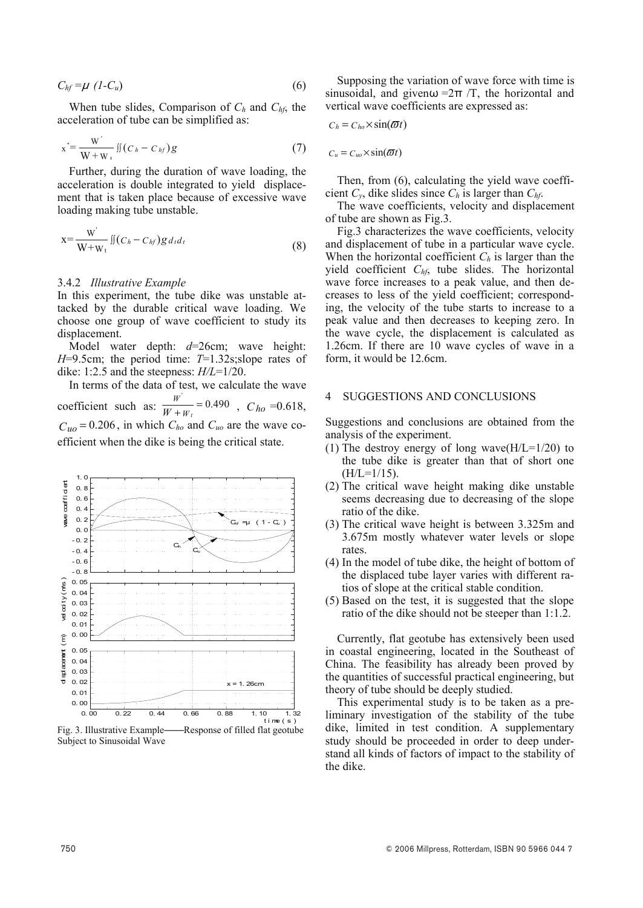$$
C_{hf} = \mu \ (1 - C_u) \tag{6}
$$

When tube slides, Comparison of  $C_h$  and  $C_{hf}$ , the acceleration of tube can be simplified as:

$$
x^* = \frac{W^{'}}{W+W_+} \iint (C_h - C_{hf}) g
$$
 (7)

Further, during the duration of wave loading, the acceleration is double integrated to yield displacement that is taken place because of excessive wave loading making tube unstable.

$$
x = \frac{W'}{W + W_t} \iint (C_h - C_{hf}) g d_t d_t
$$
\n(8)

#### 3.4.2 Illustrative Example

In this experiment, the tube dike was unstable attacked by the durable critical wave loading. We choose one group of wave coefficient to study its displacement

Model water depth:  $d=26$ cm; wave height:  $H=9.5$ cm; the period time:  $T=1.32$ s; slope rates of dike: 1:2.5 and the steepness:  $H/L=1/20$ .

In terms of the data of test, we calculate the wave coefficient such as:  $\frac{W}{W + W_t} = 0.490$ ,  $C_{ho} = 0.618$ ,  $C_{uo}$  = 0.206, in which  $C_{ho}$  and  $C_{uo}$  are the wave coefficient when the dike is being the critical state.



Subject to Sinusoidal Wave

Supposing the variation of wave force with time is sinusoidal, and given  $\omega = 2\pi/T$ , the horizontal and vertical wave coefficients are expressed as:

$$
C_h = C_{ho} \times \sin(\omega t)
$$

 $C_u = C_{uo} \times \sin(\omega t)$ 

Then, from (6), calculating the yield wave coefficient  $C_v$ , dike slides since  $C_h$  is larger than  $C_{hf}$ .

The wave coefficients, velocity and displacement of tube are shown as Fig.3.

Fig.3 characterizes the wave coefficients, velocity and displacement of tube in a particular wave cycle. When the horizontal coefficient  $C_h$  is larger than the yield coefficient  $C_{hf}$ , tube slides. The horizontal wave force increases to a peak value, and then decreases to less of the yield coefficient; corresponding, the velocity of the tube starts to increase to a peak value and then decreases to keeping zero. In the wave cycle, the displacement is calculated as 1.26cm. If there are 10 wave cycles of wave in a form, it would be 12.6cm.

#### SUGGESTIONS AND CONCLUSIONS  $\Delta$

Suggestions and conclusions are obtained from the analysis of the experiment.

- (1) The destroy energy of long wave( $H/L=1/20$ ) to the tube dike is greater than that of short one  $(H/L=1/15)$ .
- (2) The critical wave height making dike unstable seems decreasing due to decreasing of the slope ratio of the dike.
- (3) The critical wave height is between 3.325m and 3.675m mostly whatever water levels or slope rates.
- (4) In the model of tube dike, the height of bottom of the displaced tube laver varies with different ratios of slope at the critical stable condition.
- (5) Based on the test, it is suggested that the slope ratio of the dike should not be steeper than 1:1.2.

Currently, flat geotube has extensively been used in coastal engineering, located in the Southeast of China. The feasibility has already been proved by the quantities of successful practical engineering, but theory of tube should be deeply studied.

This experimental study is to be taken as a preliminary investigation of the stability of the tube dike, limited in test condition. A supplementary study should be proceeded in order to deep understand all kinds of factors of impact to the stability of the dike.